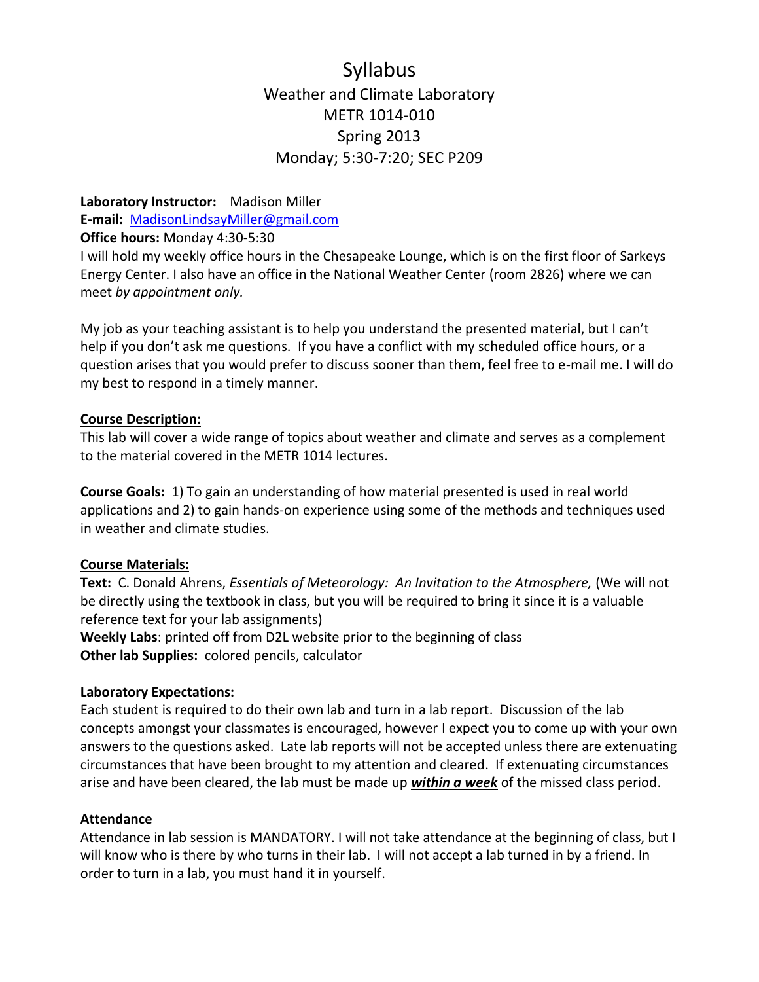## Syllabus Weather and Climate Laboratory METR 1014-010 Spring 2013 Monday; 5:30-7:20; SEC P209

**Laboratory Instructor:** Madison Miller **E-mail:** [MadisonLindsayMiller@gmail.com](mailto:MadisonLindsayMiller@gmail.com)

**Office hours:** Monday 4:30-5:30

I will hold my weekly office hours in the Chesapeake Lounge, which is on the first floor of Sarkeys Energy Center. I also have an office in the National Weather Center (room 2826) where we can meet *by appointment only.*

My job as your teaching assistant is to help you understand the presented material, but I can't help if you don't ask me questions. If you have a conflict with my scheduled office hours, or a question arises that you would prefer to discuss sooner than them, feel free to e-mail me. I will do my best to respond in a timely manner.

## **Course Description:**

This lab will cover a wide range of topics about weather and climate and serves as a complement to the material covered in the METR 1014 lectures.

**Course Goals:** 1) To gain an understanding of how material presented is used in real world applications and 2) to gain hands-on experience using some of the methods and techniques used in weather and climate studies.

### **Course Materials:**

**Text:** C. Donald Ahrens, *Essentials of Meteorology: An Invitation to the Atmosphere,* (We will not be directly using the textbook in class, but you will be required to bring it since it is a valuable reference text for your lab assignments)

**Weekly Labs**: printed off from D2L website prior to the beginning of class **Other lab Supplies:** colored pencils, calculator

## **Laboratory Expectations:**

Each student is required to do their own lab and turn in a lab report. Discussion of the lab concepts amongst your classmates is encouraged, however I expect you to come up with your own answers to the questions asked. Late lab reports will not be accepted unless there are extenuating circumstances that have been brought to my attention and cleared. If extenuating circumstances arise and have been cleared, the lab must be made up *within a week* of the missed class period.

### **Attendance**

Attendance in lab session is MANDATORY. I will not take attendance at the beginning of class, but I will know who is there by who turns in their lab. I will not accept a lab turned in by a friend. In order to turn in a lab, you must hand it in yourself.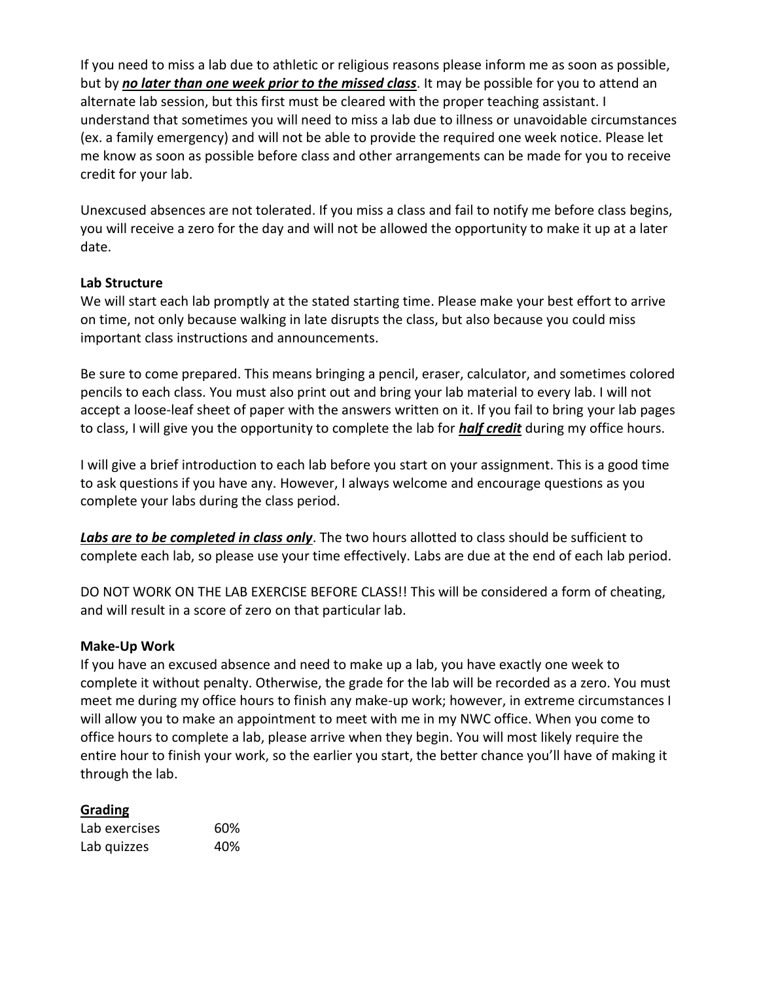If you need to miss a lab due to athletic or religious reasons please inform me as soon as possible, but by *no later than one week prior to the missed class*. It may be possible for you to attend an alternate lab session, but this first must be cleared with the proper teaching assistant. I understand that sometimes you will need to miss a lab due to illness or unavoidable circumstances (ex. a family emergency) and will not be able to provide the required one week notice. Please let me know as soon as possible before class and other arrangements can be made for you to receive credit for your lab.

Unexcused absences are not tolerated. If you miss a class and fail to notify me before class begins, you will receive a zero for the day and will not be allowed the opportunity to make it up at a later date.

## **Lab Structure**

We will start each lab promptly at the stated starting time. Please make your best effort to arrive on time, not only because walking in late disrupts the class, but also because you could miss important class instructions and announcements.

Be sure to come prepared. This means bringing a pencil, eraser, calculator, and sometimes colored pencils to each class. You must also print out and bring your lab material to every lab. I will not accept a loose-leaf sheet of paper with the answers written on it. If you fail to bring your lab pages to class, I will give you the opportunity to complete the lab for *half credit* during my office hours.

I will give a brief introduction to each lab before you start on your assignment. This is a good time to ask questions if you have any. However, I always welcome and encourage questions as you complete your labs during the class period.

*Labs are to be completed in class only*. The two hours allotted to class should be sufficient to complete each lab, so please use your time effectively. Labs are due at the end of each lab period.

DO NOT WORK ON THE LAB EXERCISE BEFORE CLASS!! This will be considered a form of cheating, and will result in a score of zero on that particular lab.

### **Make-Up Work**

If you have an excused absence and need to make up a lab, you have exactly one week to complete it without penalty. Otherwise, the grade for the lab will be recorded as a zero. You must meet me during my office hours to finish any make-up work; however, in extreme circumstances I will allow you to make an appointment to meet with me in my NWC office. When you come to office hours to complete a lab, please arrive when they begin. You will most likely require the entire hour to finish your work, so the earlier you start, the better chance you'll have of making it through the lab.

### **Grading**

| Lab exercises | 60% |
|---------------|-----|
| Lab quizzes   | 40% |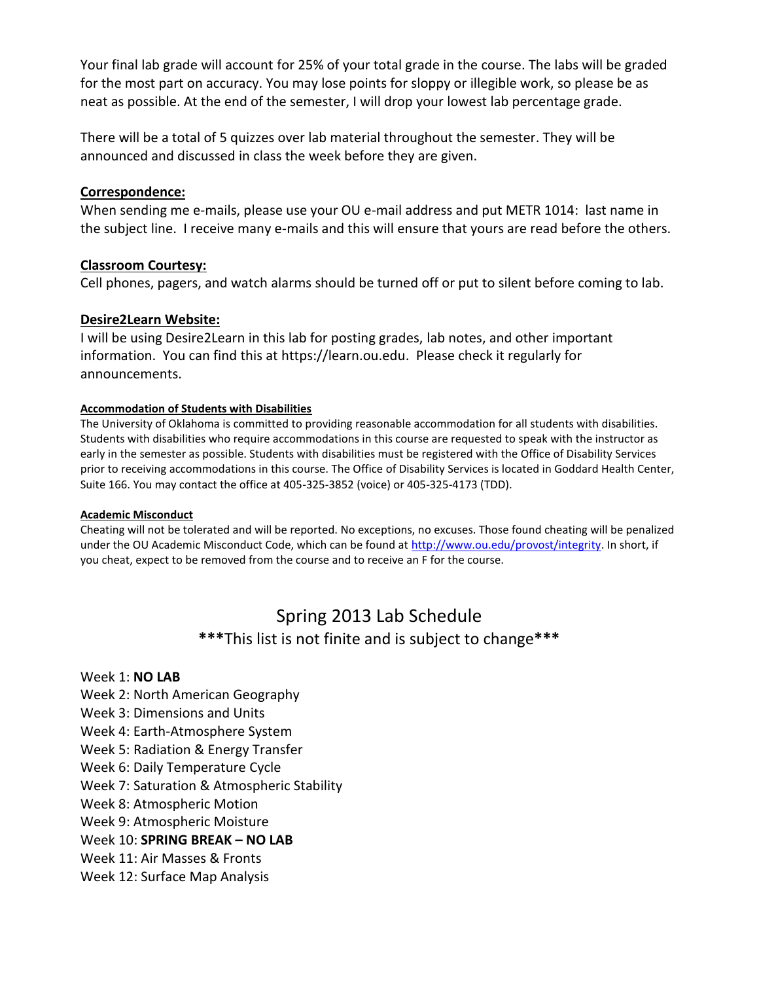Your final lab grade will account for 25% of your total grade in the course. The labs will be graded for the most part on accuracy. You may lose points for sloppy or illegible work, so please be as neat as possible. At the end of the semester, I will drop your lowest lab percentage grade.

There will be a total of 5 quizzes over lab material throughout the semester. They will be announced and discussed in class the week before they are given.

### **Correspondence:**

When sending me e-mails, please use your OU e-mail address and put METR 1014: last name in the subject line. I receive many e-mails and this will ensure that yours are read before the others.

## **Classroom Courtesy:**

Cell phones, pagers, and watch alarms should be turned off or put to silent before coming to lab.

## **Desire2Learn Website:**

I will be using Desire2Learn in this lab for posting grades, lab notes, and other important information. You can find this at [https://learn.ou.edu.](https://learn.ou.edu/) Please check it regularly for announcements.

#### **Accommodation of Students with Disabilities**

The University of Oklahoma is committed to providing reasonable accommodation for all students with disabilities. Students with disabilities who require accommodations in this course are requested to speak with the instructor as early in the semester as possible. Students with disabilities must be registered with the Office of Disability Services prior to receiving accommodations in this course. The Office of Disability Services is located in Goddard Health Center, Suite 166. You may contact the office at 405-325-3852 (voice) or 405-325-4173 (TDD).

#### **Academic Misconduct**

Cheating will not be tolerated and will be reported. No exceptions, no excuses. Those found cheating will be penalized under the OU Academic Misconduct Code, which can be found at [http://www.ou.edu/provost/integrity.](http://www.ou.edu/provost/integrity) In short, if you cheat, expect to be removed from the course and to receive an F for the course.

# Spring 2013 Lab Schedule **\*\*\***This list is not finite and is subject to change**\*\*\***

## Week 1: **NO LAB**

- Week 2: North American Geography
- Week 3: Dimensions and Units
- Week 4: Earth-Atmosphere System
- Week 5: Radiation & Energy Transfer
- Week 6: Daily Temperature Cycle
- Week 7: Saturation & Atmospheric Stability
- Week 8: Atmospheric Motion
- Week 9: Atmospheric Moisture
- Week 10: **SPRING BREAK – NO LAB**
- Week 11: Air Masses & Fronts
- Week 12: Surface Map Analysis